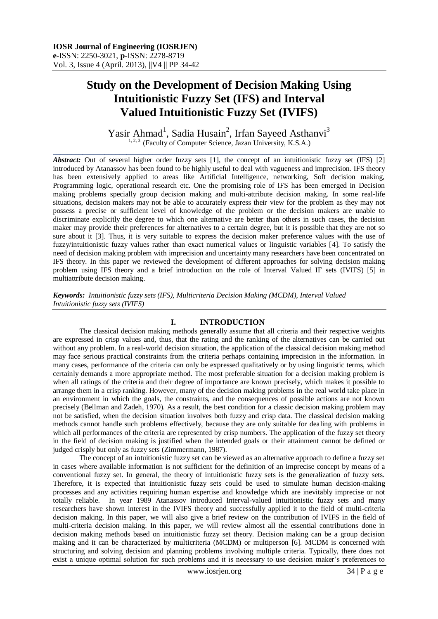# **Study on the Development of Decision Making Using Intuitionistic Fuzzy Set (IFS) and Interval Valued Intuitionistic Fuzzy Set (IVIFS)**

Yasir Ahmad<sup>1</sup>, Sadia Husain<sup>2</sup>, Irfan Sayeed Asthanvi<sup>3</sup> <sup>1, 2, 3</sup> (Faculty of Computer Science, Jazan University, K.S.A.)

 $\_$  ,  $\_$  ,  $\_$  ,  $\_$  ,  $\_$  ,  $\_$  ,  $\_$  ,  $\_$  ,  $\_$  ,  $\_$  ,  $\_$  ,  $\_$  ,  $\_$  ,  $\_$  ,  $\_$  ,  $\_$  ,  $\_$  ,  $\_$  ,  $\_$  ,  $\_$  ,  $\_$  ,  $\_$  ,  $\_$  ,  $\_$  ,  $\_$  ,  $\_$  ,  $\_$  ,  $\_$  ,  $\_$  ,  $\_$  ,  $\_$  ,  $\_$  ,  $\_$  ,  $\_$  ,  $\_$  ,  $\_$  ,  $\_$  ,

*Abstract:* Out of several higher order fuzzy sets [1], the concept of an intuitionistic fuzzy set (IFS) [2] introduced by Atanassov has been found to be highly useful to deal with vagueness and imprecision. IFS theory has been extensively applied to areas like Artificial Intelligence, networking, Soft decision making, Programming logic, operational research etc. One the promising role of IFS has been emerged in Decision making problems specially group decision making and multi-attribute decision making. In some real-life situations, decision makers may not be able to accurately express their view for the problem as they may not possess a precise or sufficient level of knowledge of the problem or the decision makers are unable to discriminate explicitly the degree to which one alternative are better than others in such cases, the decision maker may provide their preferences for alternatives to a certain degree, but it is possible that they are not so sure about it [3]. Thus, it is very suitable to express the decision maker preference values with the use of fuzzy/intuitionistic fuzzy values rather than exact numerical values or linguistic variables [4]. To satisfy the need of decision making problem with imprecision and uncertainty many researchers have been concentrated on IFS theory. In this paper we reviewed the development of different approaches for solving decision making problem using IFS theory and a brief introduction on the role of Interval Valued IF sets (IVIFS) [5] in multiattribute decision making.

*Keywords: Intuitionistic fuzzy sets (IFS), Multicriteria Decision Making (MCDM), Interval Valued Intuitionistic fuzzy sets (IVIFS)*

### **I. INTRODUCTION**

The classical decision making methods generally assume that all criteria and their respective weights are expressed in crisp values and, thus, that the rating and the ranking of the alternatives can be carried out without any problem. In a real-world decision situation, the application of the classical decision making method may face serious practical constraints from the criteria perhaps containing imprecision in the information. In many cases, performance of the criteria can only be expressed qualitatively or by using linguistic terms, which certainly demands a more appropriate method. The most preferable situation for a decision making problem is when all ratings of the criteria and their degree of importance are known precisely, which makes it possible to arrange them in a crisp ranking. However, many of the decision making problems in the real world take place in an environment in which the goals, the constraints, and the consequences of possible actions are not known precisely (Bellman and Zadeh, 1970). As a result, the best condition for a classic decision making problem may not be satisfied, when the decision situation involves both fuzzy and crisp data. The classical decision making methods cannot handle such problems effectively, because they are only suitable for dealing with problems in which all performances of the criteria are represented by crisp numbers. The application of the fuzzy set theory in the field of decision making is justified when the intended goals or their attainment cannot be defined or judged crisply but only as fuzzy sets (Zimmermann, 1987).

The concept of an intuitionistic fuzzy set can be viewed as an alternative approach to define a fuzzy set in cases where available information is not sufficient for the definition of an imprecise concept by means of a conventional fuzzy set. In general, the theory of intuitionistic fuzzy sets is the generalization of fuzzy sets. Therefore, it is expected that intuitionistic fuzzy sets could be used to simulate human decision-making processes and any activities requiring human expertise and knowledge which are inevitably imprecise or not totally reliable. In year 1989 Atanassov introduced Interval-valued intuitionistic fuzzy sets and many researchers have shown interest in the IVIFS theory and successfully applied it to the field of multi-criteria decision making. In this paper, we will also give a brief review on the contribution of IVIFS in the field of multi-criteria decision making. In this paper, we will review almost all the essential contributions done in decision making methods based on intuitionistic fuzzy set theory. Decision making can be a group decision making and it can be characterized by multicriteria (MCDM) or multiperson [6]. MCDM is concerned with structuring and solving decision and planning problems involving multiple criteria. Typically, there does not exist a unique optimal solution for such problems and it is necessary to use decision maker's preferences to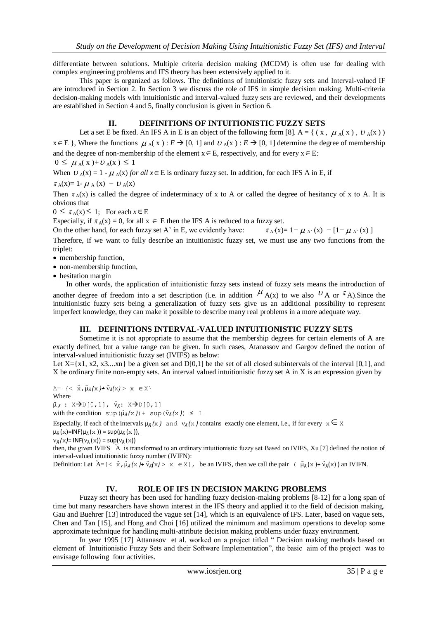differentiate between solutions. Multiple criteria decision making (MCDM) is often use for dealing with complex engineering problems and IFS theory has been extensively applied to it.

This paper is organized as follows. The definitions of intuitionistic fuzzy sets and Interval-valued IF are introduced in Section 2. In Section 3 we discuss the role of IFS in simple decision making. Multi-criteria decision-making models with intuitionistic and interval-valued fuzzy sets are reviewed, and their developments are established in Section 4 and 5, finally conclusion is given in Section 6.

#### **II. DEFINITIONS OF INTUITIONISTIC FUZZY SETS**

Let a set E be fixed. An IFS A in E is an object of the following form [8]. A = { (x,  $\mu$ <sub>A</sub>(x),  $v$ <sub>A</sub>(x))  $x \in E$  }, Where the functions  $\mu_A(x) : E \to [0, 1]$  and  $\nu_A(x) : E \to [0, 1]$  determine the degree of membership and the degree of non-membership of the element  $x \in E$ , respectively, and for every  $x \in E$ .

$$
0 \leq \mu_A(x) + \nu_A(x) \leq 1
$$

When  $U_A(x) = 1 - \mu_A(x)$  *for all*  $x \in E$  is ordinary fuzzy set. In addition, for each IFS A in E, if

 $\pi_A(x) = 1 - \mu_A(x) - \nu_A(x)$ 

Then  $\pi_A(x)$  is called the degree of indeterminacy of x to A or called the degree of hesitancy of x to A. It is obvious that

 $0 \leq \pi_A(x) \leq 1$ ; For each  $x \in E$ 

Especially, if  $\pi_A(x) = 0$ , for all  $x \in E$  then the IFS A is reduced to a fuzzy set.

On the other hand, for each fuzzy set A' in E, we evidently have:  $\pi_{A}(x)=1-\mu_{A}(x) - [1-\mu_{A}(x)]$ 

Therefore, if we want to fully describe an intuitionistic fuzzy set, we must use any two functions from the triplet:

- membership function.
- non-membership function,
- hesitation margin

In other words, the application of intuitionistic fuzzy sets instead of fuzzy sets means the introduction of another degree of freedom into a set description (i.e. in addition  $^{\mu}$  A(x) to we also  $^{\nu}$  A or  $^{\pi}$  A). Since the intuitionistic fuzzy sets being a generalization of fuzzy sets give us an additional possibility to represent imperfect knowledge, they can make it possible to describe many real problems in a more adequate way.

#### **III. DEFINITIONS INTERVAL-VALUED INTUITIONISTIC FUZZY SETS**

Sometime it is not appropriate to assume that the membership degrees for certain elements of A are exactly defined, but a value range can be given. In such cases, Atanassov and Gargov defined the notion of interval-valued intuitionistic fuzzy set (IVIFS) as below:

Let  $X=\{x1, x2, x3...xn\}$  be a given set and D[0,1] be the set of all closed subintervals of the interval [0,1], and X be ordinary finite non-empty sets. An interval valued intuitionistic fuzzy set A in X is an expression given by

A= {< ̃x,̃μ*Ã (*x *)+* ̃*Ã(*x*)* > x X} Where  $\tilde{\mu}_{\tilde{A}}$  :  $X \rightarrow D[0,1], \tilde{v}_{\tilde{A}}$ :  $X \rightarrow D[0,1]$ 

with the condition  $\sup (\tilde{\mu}_{\tilde{A}}(x)) + \sup (\tilde{\nu}_{\tilde{A}}(x)) \leq 1$ 

Especially, if each of the intervals  $\mu_{\tilde{A}}(x)$  and  $\nu_{\tilde{A}}(x)$  contains exactly one element, i.e., if for every  $x \in X$  $\mu_{\tilde{A}}(x)$ =INF( $\mu_{\tilde{A}}(x)$ ) = sup( $\mu_{\tilde{A}}(x)$ ),

 $v_{\tilde{A}}(x)$ = INF( $v_{\tilde{A}}(x)$ ) = sup( $v_{\tilde{A}}(x)$ )

then, the given IVIFS Ã is transformed to an ordinary intuitionistic fuzzy set. Based on IVIFS, Xu [7] defined the notion of interval-valued intuitionistic fuzzy number (IVIFN):

Definition: Let  $\tilde{A} = \{ \langle \tilde{x}, \tilde{\mu}_{\tilde{A}}(x) + \tilde{v}_{\tilde{A}}(x) \rangle \mid x \in X \}$ , be an IVIFS, then we call the pair  $(\tilde{\mu}_{\tilde{A}}(x) + \tilde{v}_{\tilde{A}}(x))$  an IVIFN.

### **IV. ROLE OF IFS IN DECISION MAKING PROBLEMS**

Fuzzy set theory has been used for handling fuzzy decision-making problems [8-12] for a long span of time but many researchers have shown interest in the IFS theory and applied it to the field of decision making. Gau and Buehrer [13] introduced the vague set [14], which is an equivalence of IFS. Later, based on vague sets, Chen and Tan [15], and Hong and Choi [16] utilized the minimum and maximum operations to develop some approximate technique for handling multi-attribute decision making problems under fuzzy environment.

In year 1995 [17] Attanasov et al. worked on a project titled " Decision making methods based on element of Intuitionistic Fuzzy Sets and their Software Implementation", the basic aim of the project was to envisage following four activities.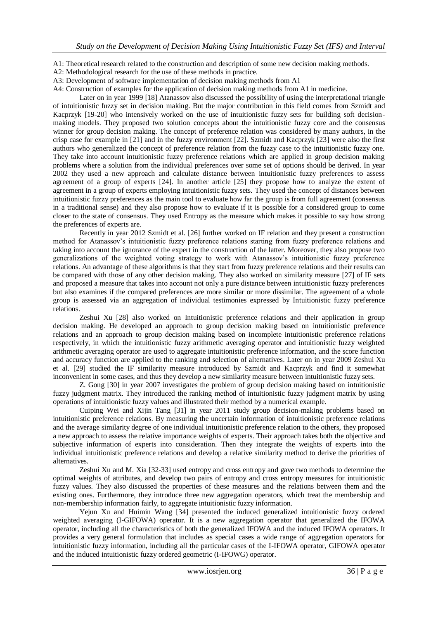A1: Theoretical research related to the construction and description of some new decision making methods.

A2: Methodological research for the use of these methods in practice.

A3: Development of software implementation of decision making methods from A1

A4: Construction of examples for the application of decision making methods from A1 in medicine.

Later on in year 1999 [18] Atanassov also discussed the possibility of using the interpretational triangle of intuitionistic fuzzy set in decision making. But the major contribution in this field comes from Szmidt and Kacprzyk [19-20] who intensively worked on the use of intuitionistic fuzzy sets for building soft decisionmaking models. They proposed two solution concepts about the intuitionistic fuzzy core and the consensus winner for group decision making. The concept of preference relation was considered by many authors, in the crisp case for example in [21] and in the fuzzy environment [22]. Szmidt and Kacprzyk [23] were also the first authors who generalized the concept of preference relation from the fuzzy case to the intuitionistic fuzzy one. They take into account intuitionistic fuzzy preference relations which are applied in group decision making problems where a solution from the individual preferences over some set of options should be derived. In year 2002 they used a new approach and calculate distance between intuitionistic fuzzy preferences to assess agreement of a group of experts [24]. In another article [25] they propose how to analyze the extent of agreement in a group of experts employing intuitionistic fuzzy sets. They used the concept of distances between intuitionistic fuzzy preferences as the main tool to evaluate how far the group is from full agreement (consensus in a traditional sense) and they also propose how to evaluate if it is possible for a considered group to come closer to the state of consensus. They used Entropy as the measure which makes it possible to say how strong the preferences of experts are.

Recently in year 2012 Szmidt et al. [26] further worked on IF relation and they present a construction method for Atanassov's intuitionistic fuzzy preference relations starting from fuzzy preference relations and taking into account the ignorance of the expert in the construction of the latter. Moreover, they also propose two generalizations of the weighted voting strategy to work with Atanassov's intuitionistic fuzzy preference relations. An advantage of these algorithms is that they start from fuzzy preference relations and their results can be compared with those of any other decision making. They also worked on similarity measure [27] of IF sets and proposed a measure that takes into account not only a pure distance between intuitionistic fuzzy preferences but also examines if the compared preferences are more similar or more dissimilar. The agreement of a whole group is assessed via an aggregation of individual testimonies expressed by Intuitionistic fuzzy preference relations.

Zeshui Xu [28] also worked on Intuitionistic preference relations and their application in group decision making. He developed an approach to group decision making based on intuitionistic preference relations and an approach to group decision making based on incomplete intuitionistic preference relations respectively, in which the intuitionistic fuzzy arithmetic averaging operator and intuitionistic fuzzy weighted arithmetic averaging operator are used to aggregate intuitionistic preference information, and the score function and accuracy function are applied to the ranking and selection of alternatives. Later on in year 2009 Zeshui Xu et al. [29] studied the IF similarity measure introduced by Szmidt and Kacprzyk and find it somewhat inconvenient in some cases, and thus they develop a new similarity measure between intuitionistic fuzzy sets.

Z. Gong [30] in year 2007 investigates the problem of group decision making based on intuitionistic fuzzy judgment matrix. They introduced the ranking method of intuitionistic fuzzy judgment matrix by using operations of intuitionistic fuzzy values and illustrated their method by a numerical example.

Cuiping Wei and Xijin Tang [31] in year 2011 study group decision-making problems based on intuitionistic preference relations. By measuring the uncertain information of intuitionistic preference relations and the average similarity degree of one individual intuitionistic preference relation to the others, they proposed a new approach to assess the relative importance weights of experts. Their approach takes both the objective and subjective information of experts into consideration. Then they integrate the weights of experts into the individual intuitionistic preference relations and develop a relative similarity method to derive the priorities of alternatives.

Zeshui Xu and M. Xia [32-33] used entropy and cross entropy and gave two methods to determine the optimal weights of attributes, and develop two pairs of entropy and cross entropy measures for intuitionistic fuzzy values. They also discussed the properties of these measures and the relations between them and the existing ones. Furthermore, they introduce three new aggregation operators, which treat the membership and non-membership information fairly, to aggregate intuitionistic fuzzy information.

Yejun Xu and Huimin Wang [34] presented the induced generalized intuitionistic fuzzy ordered weighted averaging (I-GIFOWA) operator. It is a new aggregation operator that generalized the IFOWA operator, including all the characteristics of both the generalized IFOWA and the induced IFOWA operators. It provides a very general formulation that includes as special cases a wide range of aggregation operators for intuitionistic fuzzy information, including all the particular cases of the I-IFOWA operator, GIFOWA operator and the induced intuitionistic fuzzy ordered geometric (I-IFOWG) operator.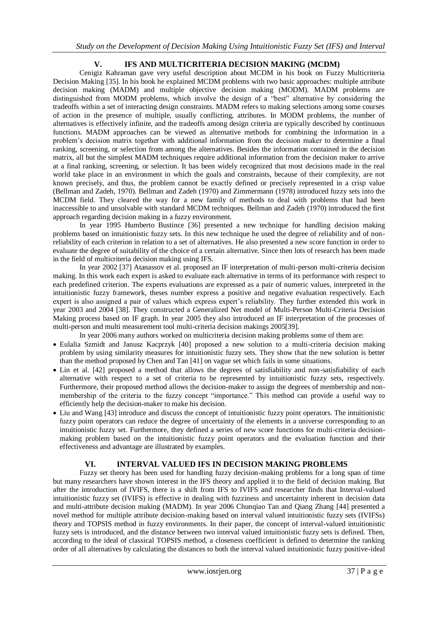# **V. IFS AND MULTICRITERIA DECISION MAKING (MCDM)**

Cenigiz Kahraman gave very useful description about MCDM in his book on Fuzzy Multicriteria Decision Making [35]. In his book he explained MCDM problems with two basic approaches: multiple attribute decision making (MADM) and multiple objective decision making (MODM). MADM problems are distinguished from MODM problems, which involve the design of a "best" alternative by considering the tradeoffs within a set of interacting design constraints. MADM refers to making selections among some courses of action in the presence of multiple, usually conflicting, attributes. In MODM problems, the number of alternatives is effectively infinite, and the tradeoffs among design criteria are typically described by continuous functions. MADM approaches can be viewed as alternative methods for combining the information in a problem's decision matrix together with additional information from the decision maker to determine a final ranking, screening, or selection from among the alternatives. Besides the information contained in the decision matrix, all but the simplest MADM techniques require additional information from the decision maker to arrive at a final ranking, screening, or selection. It has been widely recognized that most decisions made in the real world take place in an environment in which the goals and constraints, because of their complexity, are not known precisely, and thus, the problem cannot be exactly defined or precisely represented in a crisp value (Bellman and Zadeh, 1970). Bellman and Zadeh (1970) and Zimmermann (1978) introduced fuzzy sets into the MCDM field. They cleared the way for a new family of methods to deal with problems that had been inaccessible to and unsolvable with standard MCDM techniques. Bellman and Zadeh (1970) introduced the first approach regarding decision making in a fuzzy environment.

In year 1995 Humberto Bustince [36] presented a new technique for handling decision making problems based on intuitionistic fuzzy sets. In this new technique he used the degree of reliability and of nonreliability of each criterion in relation to a set of alternatives. He also presented a new score function in order to evaluate the degree of suitability of the choice of a certain alternative. Since then lots of research has been made in the field of multicriteria decision making using IFS.

In year 2002 [37] Atanassov et al. proposed an IF interpretation of multi-person multi-criteria decision making. In this work each expert is asked to evaluate each alternative in terms of its performance with respect to each predefined criterion. The experts evaluations are expressed as a pair of numeric values, interpreted in the intuitionistic fuzzy framework, theses number express a positive and negative evaluation respectively. Each expert is also assigned a pair of values which express expert's reliability. They further extended this work in year 2003 and 2004 [38]. They constructed a Generalized Net model of Multi-Person Multi-Criteria Decision Making process based on IF graph. In year 2005 they also introduced an IF interpretation of the processes of multi-person and multi measurement tool multi-criteria decision makings 2005[39].

In year 2006 many authors worked on multicriteria decision making problems some of them are:

- Eulalia Szmidt and Janusz Kacprzyk [40] proposed a new solution to a multi-criteria decision making problem by using similarity measures for intuitionistic fuzzy sets. They show that the new solution is better than the method proposed by Chen and Tan [41] on vague set which fails in some situations.
- Lin et al. [42] proposed a method that allows the degrees of satisfiability and non-satisfiability of each alternative with respect to a set of criteria to be represented by intuitionistic fuzzy sets, respectively. Furthermore, their proposed method allows the decision-maker to assign the degrees of membership and nonmembership of the criteria to the fuzzy concept "importance." This method can provide a useful way to efficiently help the decision-maker to make his decision.
- Liu and Wang [43] introduce and discuss the concept of intuitionistic fuzzy point operators. The intuitionistic fuzzy point operators can reduce the degree of uncertainty of the elements in a universe corresponding to an intuitionistic fuzzy set. Furthermore, they defined a series of new score functions for multi-criteria decisionmaking problem based on the intuitionistic fuzzy point operators and the evaluation function and their effectiveness and advantage are illustrated by examples.

### **VI. INTERVAL VALUED IFS IN DECISION MAKING PROBLEMS**

Fuzzy set theory has been used for handling fuzzy decision-making problems for a long span of time but many researchers have shown interest in the IFS theory and applied it to the field of decision making. But after the introduction of IVIFS, there is a shift from IFS to IVIFS and researcher finds that Interval-valued intuitionistic fuzzy set (IVIFS) is effective in dealing with fuzziness and uncertainty inherent in decision data and multi-attribute decision making (MADM). In year 2006 Chunqiao Tan and Qiang Zhang [44] presented a novel method for multiple attribute decision-making based on interval valued intuitionistic fuzzy sets (IVIFSs) theory and TOPSIS method in fuzzy environments. In their paper, the concept of interval-valued intuitionistic fuzzy sets is introduced, and the distance between two interval valued intuitionistic fuzzy sets is defined. Then, according to the ideal of classical TOPSIS method, a closeness coefficient is defined to determine the ranking order of all alternatives by calculating the distances to both the interval valued intuitionistic fuzzy positive-ideal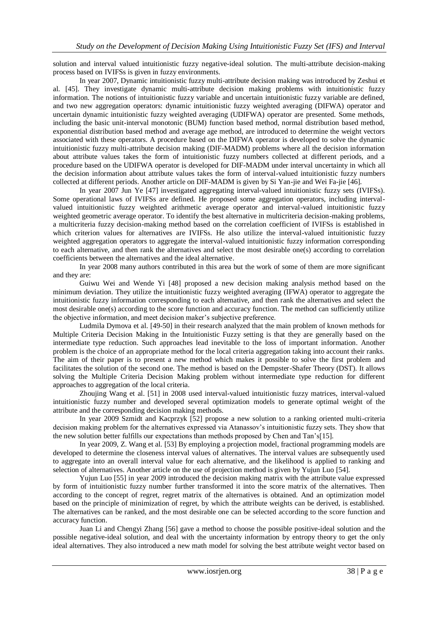solution and interval valued intuitionistic fuzzy negative-ideal solution. The multi-attribute decision-making process based on IVIFSs is given in fuzzy environments.

In year 2007, Dynamic intuitionistic fuzzy multi-attribute decision making was introduced by Zeshui et al. [45]. They investigate dynamic multi-attribute decision making problems with intuitionistic fuzzy information. The notions of intuitionistic fuzzy variable and uncertain intuitionistic fuzzy variable are defined, and two new aggregation operators: dynamic intuitionistic fuzzy weighted averaging (DIFWA) operator and uncertain dynamic intuitionistic fuzzy weighted averaging (UDIFWA) operator are presented. Some methods, including the basic unit-interval monotonic (BUM) function based method, normal distribution based method, exponential distribution based method and average age method, are introduced to determine the weight vectors associated with these operators. A procedure based on the DIFWA operator is developed to solve the dynamic intuitionistic fuzzy multi-attribute decision making (DIF-MADM) problems where all the decision information about attribute values takes the form of intuitionistic fuzzy numbers collected at different periods, and a procedure based on the UDIFWA operator is developed for DIF-MADM under interval uncertainty in which all the decision information about attribute values takes the form of interval-valued intuitionistic fuzzy numbers collected at different periods. Another article on DIF-MADM is given by Si Yan-jie and Wei Fa-jie [46].

In year 2007 Jun Ye [47] investigated aggregating interval-valued intuitionistic fuzzy sets (IVIFSs). Some operational laws of IVIFSs are defined. He proposed some aggregation operators, including intervalvalued intuitionistic fuzzy weighted arithmetic average operator and interval-valued intuitionistic fuzzy weighted geometric average operator. To identify the best alternative in multicriteria decision-making problems, a multicriteria fuzzy decision-making method based on the correlation coefficient of IVIFSs is established in which criterion values for alternatives are IVIFSs. He also utilize the interval-valued intuitionistic fuzzy weighted aggregation operators to aggregate the interval-valued intuitionistic fuzzy information corresponding to each alternative, and then rank the alternatives and select the most desirable one(s) according to correlation coefficients between the alternatives and the ideal alternative.

In year 2008 many authors contributed in this area but the work of some of them are more significant and they are:

Guiwu Wei and Wende Yi [48] proposed a new decision making analysis method based on the minimum deviation. They utilize the intuitionistic fuzzy weighted averaging (IFWA) operator to aggregate the intuitionistic fuzzy information corresponding to each alternative, and then rank the alternatives and select the most desirable one(s) according to the score function and accuracy function. The method can sufficiently utilize the objective information, and meet decision maker's subjective preference.

Ludmila Dymova et al. [49-50] in their research analyzed that the main problem of known methods for Multiple Criteria Decision Making in the Intuitionistic Fuzzy setting is that they are generally based on the intermediate type reduction. Such approaches lead inevitable to the loss of important information. Another problem is the choice of an appropriate method for the local criteria aggregation taking into account their ranks. The aim of their paper is to present a new method which makes it possible to solve the first problem and facilitates the solution of the second one. The method is based on the Dempster-Shafer Theory (DST). It allows solving the Multiple Criteria Decision Making problem without intermediate type reduction for different approaches to aggregation of the local criteria.

Zhoujing Wang et al. [51] in 2008 used interval-valued intuitionistic fuzzy matrices, interval-valued intuitionistic fuzzy number and developed several optimization models to generate optimal weight of the attribute and the corresponding decision making methods.

In year 2009 Szmidt and Kacprzyk [52] propose a new solution to a ranking oriented multi-criteria decision making problem for the alternatives expressed via Atanassov's intuitionistic fuzzy sets. They show that the new solution better fulfills our expectations than methods proposed by Chen and Tan's[15].

In year 2009, Z. Wang et al. [53] By employing a projection model, fractional programming models are developed to determine the closeness interval values of alternatives. The interval values are subsequently used to aggregate into an overall interval value for each alternative, and the likelihood is applied to ranking and selection of alternatives. Another article on the use of projection method is given by Yujun Luo [54].

Yujun Luo [55] in year 2009 introduced the decision making matrix with the attribute value expressed by form of intuitionistic fuzzy number further transformed it into the score matrix of the alternatives. Then according to the concept of regret, regret matrix of the alternatives is obtained. And an optimization model based on the principle of minimization of regret, by which the attribute weights can be derived, is established. The alternatives can be ranked, and the most desirable one can be selected according to the score function and accuracy function.

Juan Li and Chengyi Zhang [56] gave a method to choose the possible positive-ideal solution and the possible negative-ideal solution, and deal with the uncertainty information by entropy theory to get the only ideal alternatives. They also introduced a new math model for solving the best attribute weight vector based on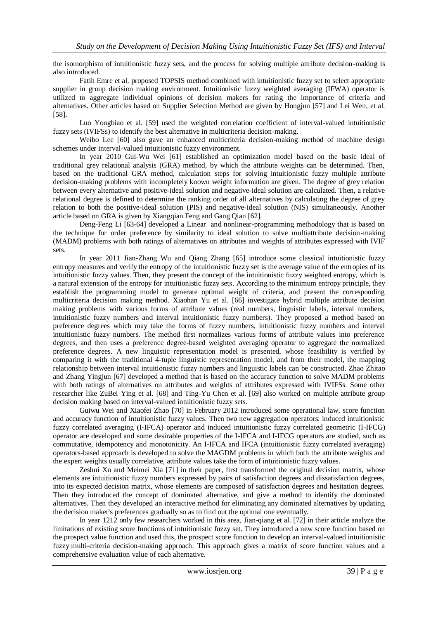the isomorphism of intuitionistic fuzzy sets, and the process for solving multiple attribute decision-making is also introduced.

Fatih Emre et al. proposed TOPSIS method combined with intuitionistic fuzzy set to select appropriate supplier in group decision making environment. Intuitionistic fuzzy weighted averaging (IFWA) operator is utilized to aggregate individual opinions of decision makers for rating the importance of criteria and alternatives. Other articles based on Supplier Selection Method are given by Hongjun [57] and Lei Wen, et al. [58].

Luo Yongbiao et al. [59] used the weighted correlation coefficient of interval-valued intuitionistic fuzzy sets (IVIFSs) to identify the best alternative in multicriteria decision-making.

Weibo Lee [60] also gave an enhanced multicriteria decision-making method of machine design schemes under interval-valued intuitionistic fuzzy environment.

In year 2010 Gui-Wu Wei [61] established an optimization model based on the basic ideal of traditional grey relational analysis (GRA) method, by which the attribute weights can be determined. Then, based on the traditional GRA method, calculation steps for solving intuitionistic fuzzy multiple attribute decision-making problems with incompletely known weight information are given. The degree of grey relation between every alternative and positive-ideal solution and negative-ideal solution are calculated. Then, a relative relational degree is defined to determine the ranking order of all alternatives by calculating the degree of grey relation to both the positive-ideal solution (PIS) and negative-ideal solution (NIS) simultaneously. Another article based on GRA is given by Xiangqian Feng and Gang Qian [62].

Deng-Feng Li [63-64] developed a Linear and nonlinear-programming methodology that is based on the technique for order preference by similarity to ideal solution to solve multiattribute decision-making (MADM) problems with both ratings of alternatives on attributes and weights of attributes expressed with IVIF sets.

In year 2011 Jian-Zhang Wu and Qiang Zhang [65] introduce some classical intuitionistic fuzzy entropy measures and verify the entropy of the intuitionistic fuzzy set is the average value of the entropies of its intuitionistic fuzzy values. Then, they present the concept of the intuitionistic fuzzy weighted entropy, which is a natural extension of the entropy for intuitionistic fuzzy sets. According to the minimum entropy principle, they establish the programming model to generate optimal weight of criteria, and present the corresponding multicriteria decision making method. Xiaohan Yu et al. [66] investigate hybrid multiple attribute decision making problems with various forms of attribute values (real numbers, linguistic labels, interval numbers, intuitionistic fuzzy numbers and interval intuitionistic fuzzy numbers). They proposed a method based on preference degrees which may take the forms of fuzzy numbers, intuitionistic fuzzy numbers and interval intuitionistic fuzzy numbers. The method first normalizes various forms of attribute values into preference degrees, and then uses a preference degree-based weighted averaging operator to aggregate the normalized preference degrees. A new linguistic representation model is presented, whose feasibility is verified by comparing it with the traditional 4-tuple linguistic representation model, and from their model, the mapping relationship between interval intuitionistic fuzzy numbers and linguistic labels can be constructed. Zhao Zhitao and Zhang Yingjun [67] developed a method that is based on the accuracy function to solve MADM problems with both ratings of alternatives on attributes and weights of attributes expressed with IVIFSs. Some other researcher like ZuBei Ying et al. [68] and Ting-Yu Chen et al. [69] also worked on multiple attribute group decision making based on interval-valued intuitionistic fuzzy sets.

Guiwu Wei and Xiaofei Zhao [70] in February 2012 introduced some operational law, score function and accuracy function of intuitionistic fuzzy values. Then two new aggregation operators: induced intuitionistic fuzzy correlated averaging (I-IFCA) operator and induced intuitionistic fuzzy correlated geometric (I-IFCG) operator are developed and some desirable properties of the I-IFCA and I-IFCG operators are studied, such as commutative, idempotency and monotonicity. An I-IFCA and IFCA (intuitionistic fuzzy correlated averaging) operators-based approach is developed to solve the MAGDM problems in which both the attribute weights and the expert weights usually correlative, attribute values take the form of intuitionistic fuzzy values.

Zeshui Xu and Meimei Xia [71] in their paper, first transformed the original decision matrix, whose elements are intuitionistic fuzzy numbers expressed by pairs of satisfaction degrees and dissatisfaction degrees, into its expected decision matrix, whose elements are composed of satisfaction degrees and hesitation degrees. Then they introduced the concept of dominated alternative, and give a method to identify the dominated alternatives. Then they developed an interactive method for eliminating any dominated alternatives by updating the decision maker's preferences gradually so as to find out the optimal one eventually.

In year 1212 only few researchers worked in this area, Jian-qiang et al. [72] in their article analyze the limitations of existing score functions of intuitionistic fuzzy set. They introduced a new score function based on the prospect value function and used this, the prospect score function to develop an interval-valued intuitionistic fuzzy multi-criteria decision-making approach. This approach gives a matrix of score function values and a comprehensive evaluation value of each alternative.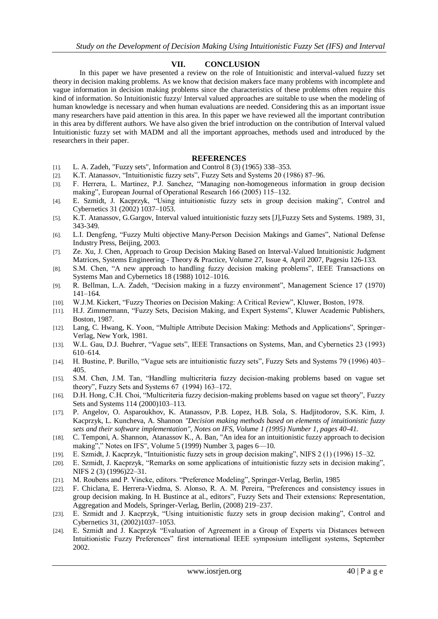# **VII. CONCLUSION**

In this paper we have presented a review on the role of Intuitionistic and interval-valued fuzzy set theory in decision making problems. As we know that decision makers face many problems with incomplete and vague information in decision making problems since the characteristics of these problems often require this kind of information. So Intuitionistic fuzzy/ Interval valued approaches are suitable to use when the modeling of human knowledge is necessary and when human evaluations are needed. Considering this as an important issue many researchers have paid attention in this area. In this paper we have reviewed all the important contribution in this area by different authors. We have also given the brief introduction on the contribution of Interval valued Intuitionistic fuzzy set with MADM and all the important approaches, methods used and introduced by the researchers in their paper.

#### **REFERENCES**

- [1]. L. A. Zadeh, "Fuzzy sets", Information and Control 8 (3) (1965) 338–353.
- [2]. K.T. Atanassov, "Intuitionistic fuzzy sets", Fuzzy Sets and Systems 20 (1986) 87–96.
- [3]. F. Herrera, L. Martinez, P.J. Sanchez, "Managing non-homogeneous information in group decision making", European Journal of Operational Research 166 (2005) 115–132.
- [4]. E. Szmidt, J. Kacprzyk, "Using intuitionistic fuzzy sets in group decision making", Control and Cybernetics 31 (2002) 1037–1053.
- [5]. K.T. Atanassov, G.Gargov, Interval valued intuitionistic fuzzy sets [J],Fuzzy Sets and Systems. 1989, 31, 343-349.
- [6]. L.I. Dengfeng, "Fuzzy Multi objective Many-Person Decision Makings and Games", National Defense Industry Press, Beijing, 2003.
- [7]. Ze. Xu, J. Chen, Approach to Group Decision Making Based on Interval-Valued Intuitionistic Judgment Matrices, Systems Engineering - Theory & Practice, Volume 27, Issue 4, April 2007, Pagesiu 126-133.
- [8]. S.M. Chen, "A new approach to handling fuzzy decision making problems", IEEE Transactions on Systems Man and Cybernetics 18 (1988) 1012–1016.
- [9]. R. Bellman, L.A. Zadeh, "Decision making in a fuzzy environment", Management Science 17 (1970) 141–164.
- [10]. W.J.M. Kickert, "Fuzzy Theories on Decision Making: A Critical Review", Kluwer, Boston, 1978.
- [11]. H.J. Zimmermann, "Fuzzy Sets, Decision Making, and Expert Systems", Kluwer Academic Publishers, Boston, 1987.
- [12]. Lang, C. Hwang, K. Yoon, "Multiple Attribute Decision Making: Methods and Applications", Springer-Verlag, New York, 1981.
- [13]. W.L. Gau, D.J. Buehrer, "Vague sets", IEEE Transactions on Systems, Man, and Cybernetics 23 (1993) 610–614.
- [14]. H. Bustine, P. Burillo, "Vague sets are intuitionistic fuzzy sets", Fuzzy Sets and Systems 79 (1996) 403– 405.
- [15]. S.M. Chen, J.M. Tan, "Handling multicriteria fuzzy decision-making problems based on vague set theory", Fuzzy Sets and Systems  $67$  (1994) 163–172.
- [16]. D.H. Hong, C.H. Choi, "Multicriteria fuzzy decision-making problems based on vague set theory", Fuzzy Sets and Systems 114 (2000)103–113.
- [17]. P. Angelov, O. Asparoukhov, K. Atanassov, P.B. Lopez, H.B. Sola, S. Hadjitodorov, S.K. Kim, J. Kacprzyk, L. Kuncheva, A. Shannon *"Decision making methods based on elements of intuitionistic fuzzy sets and their software implementation", Notes on IFS, Volume 1 (1995) Number 1, pages 40-41.*
- [18]. C. Temponi, A. Shannon, Atanassov K., A. Ban, "An idea for an intuitionistic fuzzy approach to decision making"," Notes on IFS", Volume 5 (1999) Number 3, pages 6-10.
- [19]. E. Szmidt, J. Kacprzyk, "Intuitionistic fuzzy sets in group decision making", NIFS 2 (1) (1996) 15–32.
- [20]. E. Szmidt, J. Kacprzyk, "Remarks on some applications of intuitionistic fuzzy sets in decision making", NIFS 2 (3) (1996)22–31.
- [21]. M. Roubens and P. Vincke, editors. "Preference Modeling", Springer-Verlag, Berlin, 1985
- [22]. F. Chiclana, E. Herrera-Viedma, S. Alonso, R. A. M. Pereira, "Preferences and consistency issues in group decision making. In H. Bustince at al., editors", Fuzzy Sets and Their extensions: Representation, Aggregation and Models, Springer-Verlag, Berlin, (2008) 219–237.
- [23]. E. Szmidt and J. Kacprzyk, "Using intuitionistic fuzzy sets in group decision making". Control and Cybernetics 31, (2002)1037–1053.
- [24]. E. Szmidt and J. Kacprzyk "Evaluation of Agreement in a Group of Experts via Distances between Intuitionistic Fuzzy Preferences" first international IEEE symposium intelligent systems, September 2002.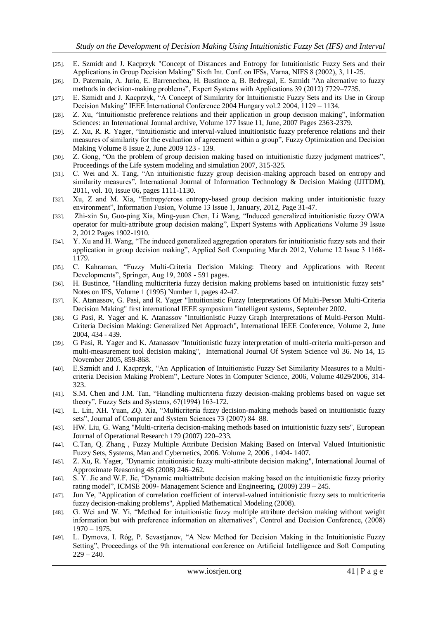- [25]. E. Szmidt and J. Kacprzyk "Concept of Distances and Entropy for Intuitionistic Fuzzy Sets and their Applications in Group Decision Making" Sixth Int. Conf. on IFSs, Varna, NIFS 8 (2002), 3, 11-25.
- [26]. D. Paternain, A. Jurio, E. Barrenechea, H. Bustince a, B. Bedregal, E. Szmidt "An alternative to fuzzy methods in decision-making problems", Expert Systems with Applications 39 (2012) 7729–7735.
- [27]. E. Szmidt and J. Kacprzyk, "A Concept of Similarity for Intuitionistic Fuzzy Sets and its Use in Group Decision Making" IEEE International Conference 2004 Hungary vol. 2 2004, 1129 – 1134.
- [28]. Z. Xu, "Intuitionistic preference relations and their application in group decision making", Information Sciences: an International Journal archive, Volume 177 Issue 11, June, 2007 Pages 2363-2379.
- [29]. Z. Xu, R. R. Yager, "Intuitionistic and interval-valued intuitionistic fuzzy preference relations and their measures of similarity for the evaluation of agreement within a group", Fuzzy Optimization and Decision Making Volume 8 Issue 2, June 2009 123 - 139.
- [30]. Z. Gong, "On the problem of group decision making based on intuitionistic fuzzy judgment matrices", Proceedings of the Life system modeling and simulation 2007, 315-325.
- [31]. C. Wei and X. Tang, "An intuitionistic fuzzy group decision-making approach based on entropy and similarity measures", International Journal of Information Technology & Decision Making (IJITDM), 2011, vol. 10, issue 06, pages 1111-1130.
- [32]. Xu, Z and M. Xia, "Entropy/cross entropy-based group decision making under intuitionistic fuzzy environment", Information Fusion, Volume 13 Issue 1, January, 2012, Page 31-47.
- [33]. Zhi-xin Su, Guo-ping Xia, Ming-yuan Chen, Li Wang, "Induced generalized intuitionistic fuzzy OWA operator for multi-attribute group decision making", Expert Systems with Applications Volume 39 Issue 2, 2012 Pages 1902-1910.
- [34]. Y. Xu and H. Wang, "The induced generalized aggregation operators for intuitionistic fuzzy sets and their application in group decision making", Applied Soft Computing March 2012, Volume 12 Issue 3 1168-1179.
- [35]. C. Kahraman, "Fuzzy Multi-Criteria Decision Making: Theory and Applications with Recent Developments", Springer, Aug 19, 2008 - 591 pages.
- [36]. H. Bustince, "Handling multicriteria fuzzy decision making problems based on intuitionistic fuzzy sets" Notes on IFS, Volume 1 (1995) Number 1, pages 42-47.
- [37]. K. Atanassov, G. Pasi, and R. Yager "Intuitionistic Fuzzy Interpretations Of Multi-Person Multi-Criteria Decision Making" first international IEEE symposium "intelligent systems, September 2002.
- [38]. G Pasi, R. Yager and K. Atanassov "Intuitionistic Fuzzy Graph Interpretations of Multi-Person Multi-Criteria Decision Making: Generalized Net Approach", International IEEE Conference, Volume 2, June 2004, 434 - 439.
- [39]. G Pasi, R. Yager and K. Atanassov "Intuitionistic fuzzy interpretation of multi-criteria multi-person and multi-measurement tool decision making", International Journal Of System Science vol 36. No 14, 15 November 2005, 859-868.
- [40]. E.Szmidt and J. Kacprzyk, "An Application of Intuitionistic Fuzzy Set Similarity Measures to a Multicriteria Decision Making Problem", Lecture Notes in Computer Science, 2006, Volume 4029/2006, 314-323.
- [41]. S.M. Chen and J.M. Tan, "Handling multicriteria fuzzy decision-making problems based on vague set theory", Fuzzy Sets and Systems,  $67(1994)$  163-172.
- [42]. L. Lin, XH. Yuan, ZQ. Xia, "Multicriteria fuzzy decision-making methods based on intuitionistic fuzzy sets", Journal of Computer and System Sciences 73 (2007) 84–88.
- [43]. HW. Liu, G. Wang "Multi-criteria decision-making methods based on intuitionistic fuzzy sets", European Journal of Operational Research 179 (2007) 220–233.
- [44]. C.Tan, Q. Zhang , Fuzzy Multiple Attribute Decision Making Based on Interval Valued Intuitionistic Fuzzy Sets, Systems, Man and Cybernetics, 2006. Volume 2, 2006 , 1404- 1407.
- [45]. Z. Xu, R. Yager, "Dynamic intuitionistic fuzzy multi-attribute decision making", International Journal of Approximate Reasoning 48 (2008) 246–262.
- [46]. S. Y. Jie and W.F. Jie, "Dynamic multiattribute decision making based on the intuitionistic fuzzy priority rating model", ICMSE 2009- Management Science and Engineering,  $(2009)$  239 – 245.
- [47]. Jun Ye, "Application of correlation coefficient of interval-valued intuitionistic fuzzy sets to multicriteria fuzzy decision-making problems", Applied Mathematical Modeling (2008).
- [48]. G. Wei and W. Yi, "Method for intuitionistic fuzzy multiple attribute decision making without weight information but with preference information on alternatives", Control and Decision Conference, (2008) 1970 – 1975.
- [49]. L. Dymova, I. Róg, P. Sevastjanov, "A New Method for Decision Making in the Intuitionistic Fuzzy Setting", Proceedings of the 9th international conference on Artificial Intelligence and Soft Computing  $229 - 240.$